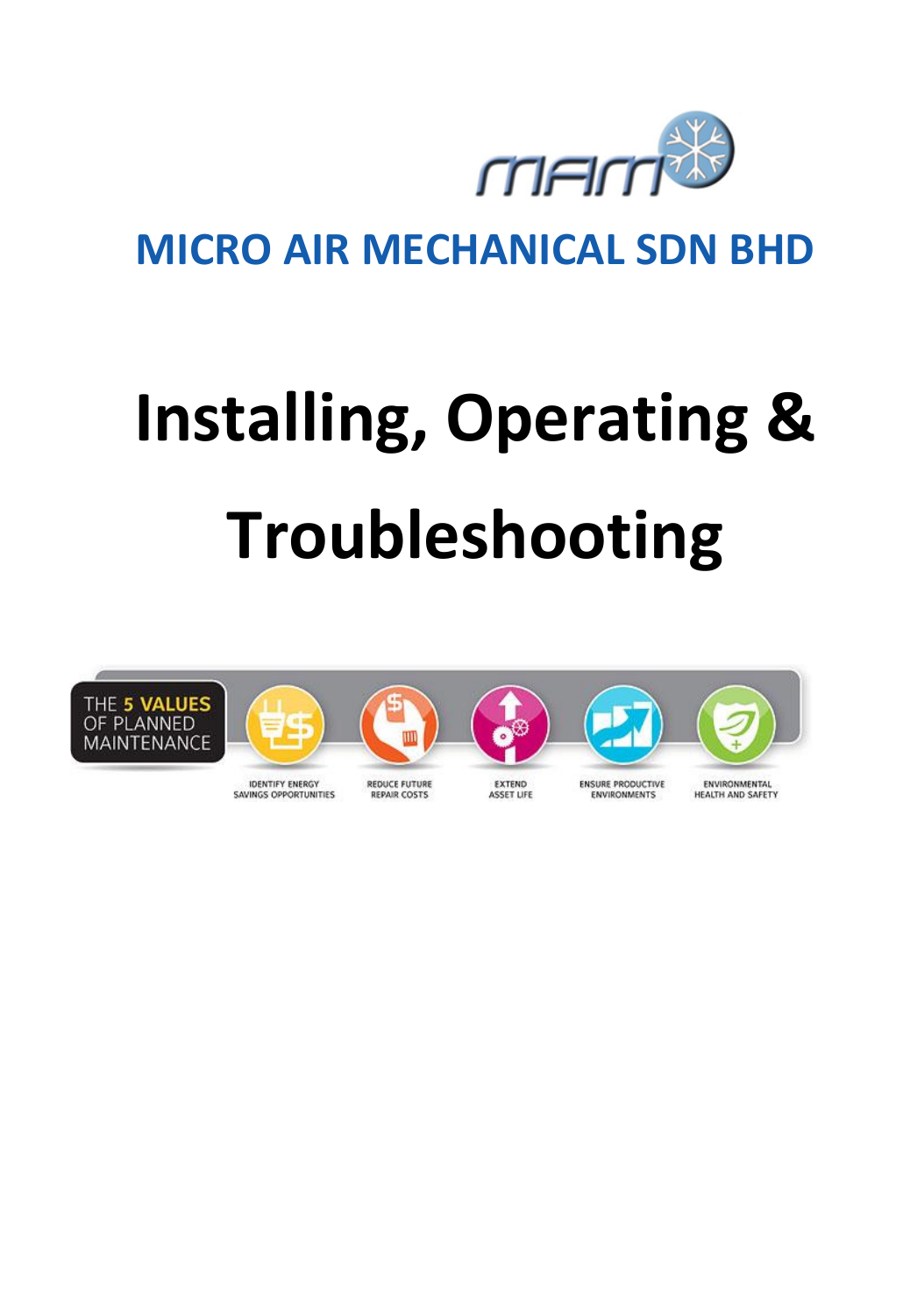

# **MICRO AIR MECHANICAL SDN BHD**

# **Installing, Operating & Troubleshooting**



**ASSET LIFE**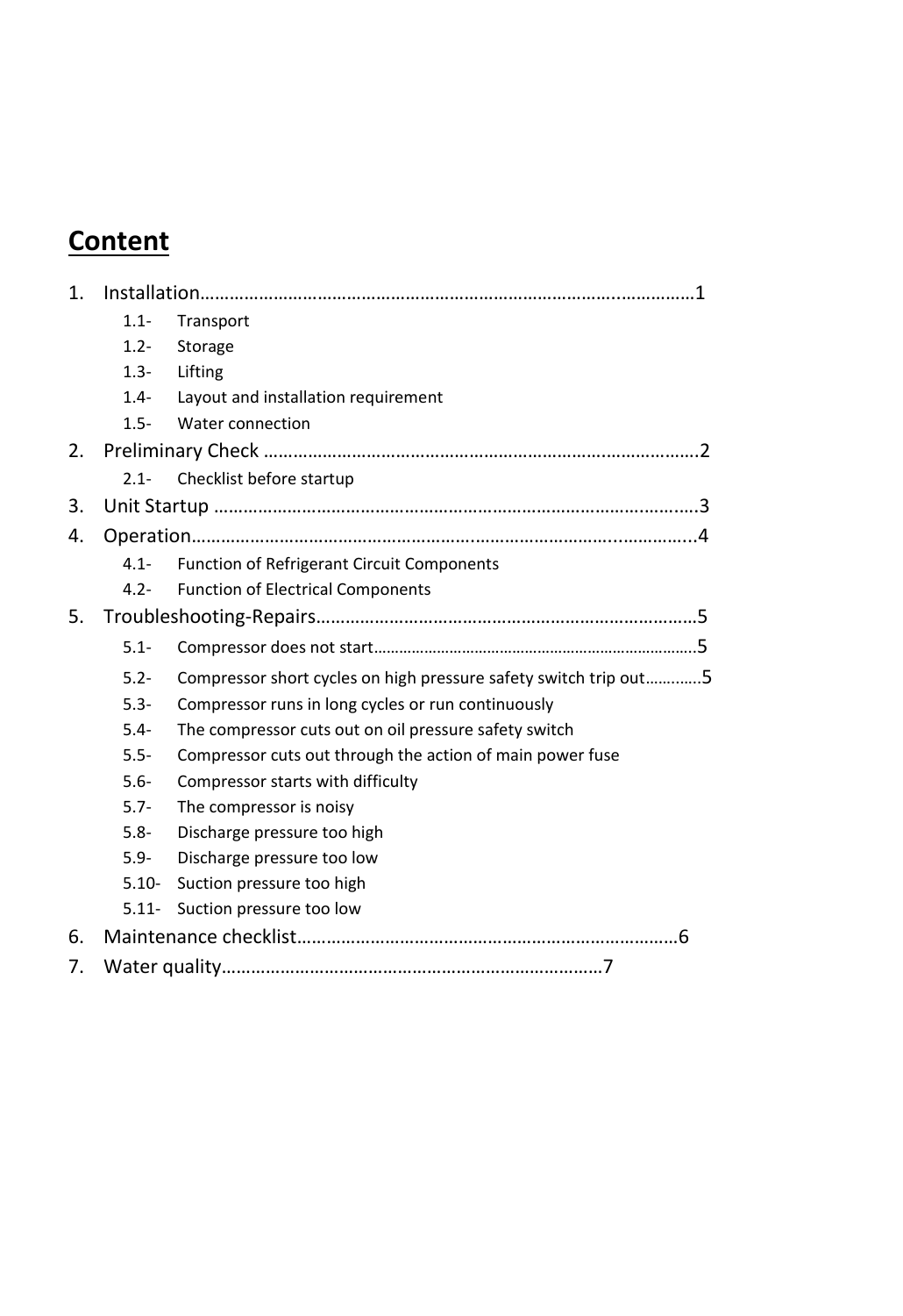## **Content**

| 1. |          |                                                                  |  |  |  |
|----|----------|------------------------------------------------------------------|--|--|--|
|    | $1.1 -$  | Transport                                                        |  |  |  |
|    | $1.2 -$  | Storage                                                          |  |  |  |
|    | $1.3 -$  | Lifting                                                          |  |  |  |
|    | $1.4 -$  | Layout and installation requirement                              |  |  |  |
|    | $1.5 -$  | Water connection                                                 |  |  |  |
| 2. |          |                                                                  |  |  |  |
|    | $2.1 -$  | Checklist before startup                                         |  |  |  |
| 3. |          |                                                                  |  |  |  |
| 4. |          |                                                                  |  |  |  |
|    | $4.1 -$  | <b>Function of Refrigerant Circuit Components</b>                |  |  |  |
|    | $4.2 -$  | <b>Function of Electrical Components</b>                         |  |  |  |
| 5. |          |                                                                  |  |  |  |
|    | $5.1 -$  |                                                                  |  |  |  |
|    | $5.2 -$  | Compressor short cycles on high pressure safety switch trip out5 |  |  |  |
|    | $5.3 -$  | Compressor runs in long cycles or run continuously               |  |  |  |
|    | $5.4 -$  | The compressor cuts out on oil pressure safety switch            |  |  |  |
|    | $5.5 -$  | Compressor cuts out through the action of main power fuse        |  |  |  |
|    | $5.6 -$  | Compressor starts with difficulty                                |  |  |  |
|    | $5.7 -$  | The compressor is noisy                                          |  |  |  |
|    | $5.8 -$  | Discharge pressure too high                                      |  |  |  |
|    | $5.9 -$  | Discharge pressure too low                                       |  |  |  |
|    | $5.10 -$ | Suction pressure too high                                        |  |  |  |
|    | $5.11 -$ | Suction pressure too low                                         |  |  |  |
| 6. |          |                                                                  |  |  |  |
| 7. |          |                                                                  |  |  |  |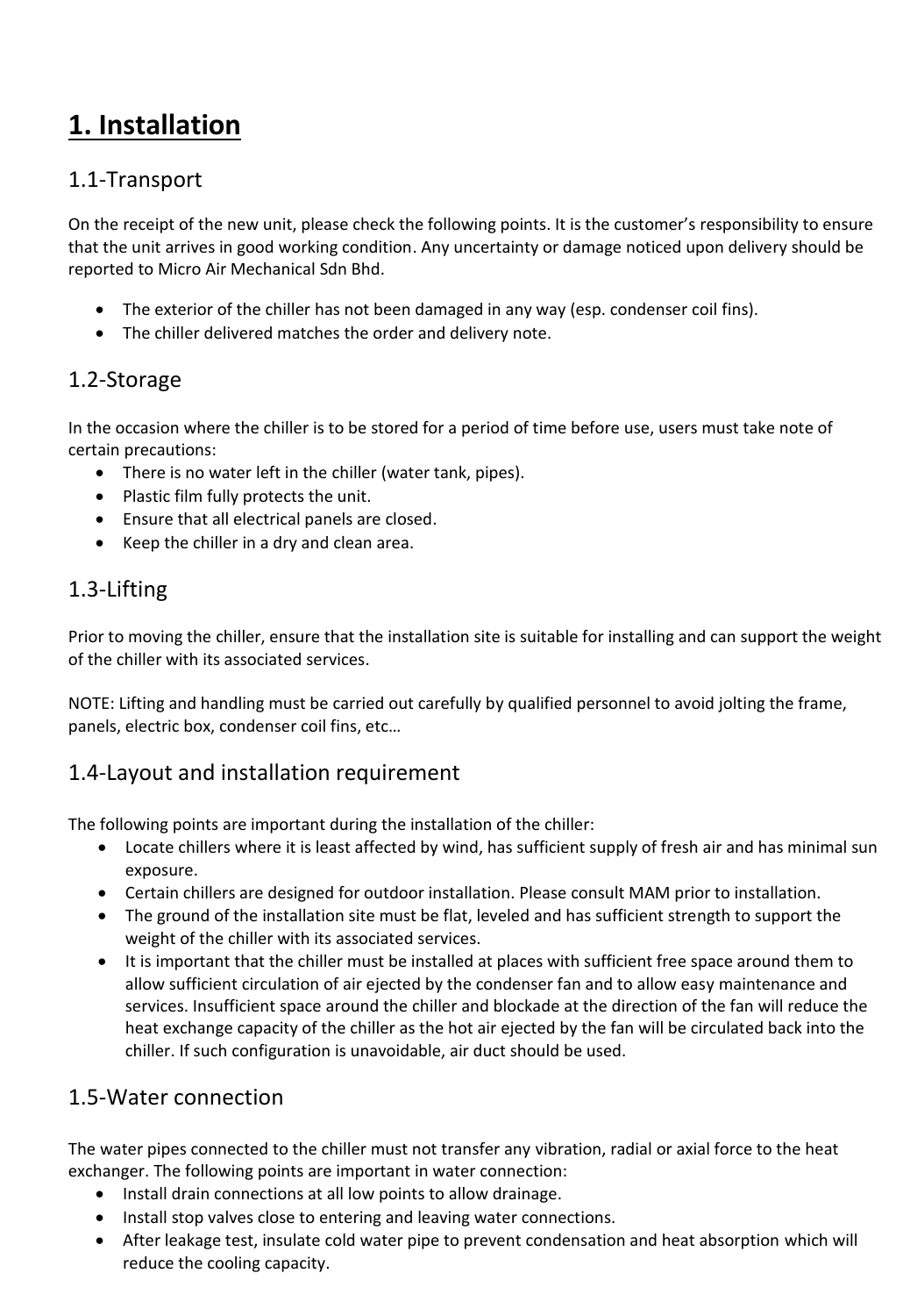## **1. Installation**

#### 1.1-Transport

On the receipt of the new unit, please check the following points. It is the customer's responsibility to ensure that the unit arrives in good working condition. Any uncertainty or damage noticed upon delivery should be reported to Micro Air Mechanical Sdn Bhd.

- The exterior of the chiller has not been damaged in any way (esp. condenser coil fins).
- The chiller delivered matches the order and delivery note.

#### 1.2-Storage

In the occasion where the chiller is to be stored for a period of time before use, users must take note of certain precautions:

- There is no water left in the chiller (water tank, pipes).
- Plastic film fully protects the unit.
- Ensure that all electrical panels are closed.
- Keep the chiller in a dry and clean area.

#### 1.3-Lifting

Prior to moving the chiller, ensure that the installation site is suitable for installing and can support the weight of the chiller with its associated services.

NOTE: Lifting and handling must be carried out carefully by qualified personnel to avoid jolting the frame, panels, electric box, condenser coil fins, etc…

#### 1.4-Layout and installation requirement

The following points are important during the installation of the chiller:

- Locate chillers where it is least affected by wind, has sufficient supply of fresh air and has minimal sun exposure.
- Certain chillers are designed for outdoor installation. Please consult MAM prior to installation.
- The ground of the installation site must be flat, leveled and has sufficient strength to support the weight of the chiller with its associated services.
- It is important that the chiller must be installed at places with sufficient free space around them to allow sufficient circulation of air ejected by the condenser fan and to allow easy maintenance and services. Insufficient space around the chiller and blockade at the direction of the fan will reduce the heat exchange capacity of the chiller as the hot air ejected by the fan will be circulated back into the chiller. If such configuration is unavoidable, air duct should be used.

#### 1.5-Water connection

The water pipes connected to the chiller must not transfer any vibration, radial or axial force to the heat exchanger. The following points are important in water connection:

- Install drain connections at all low points to allow drainage.
- Install stop valves close to entering and leaving water connections.
- After leakage test, insulate cold water pipe to prevent condensation and heat absorption which will reduce the cooling capacity.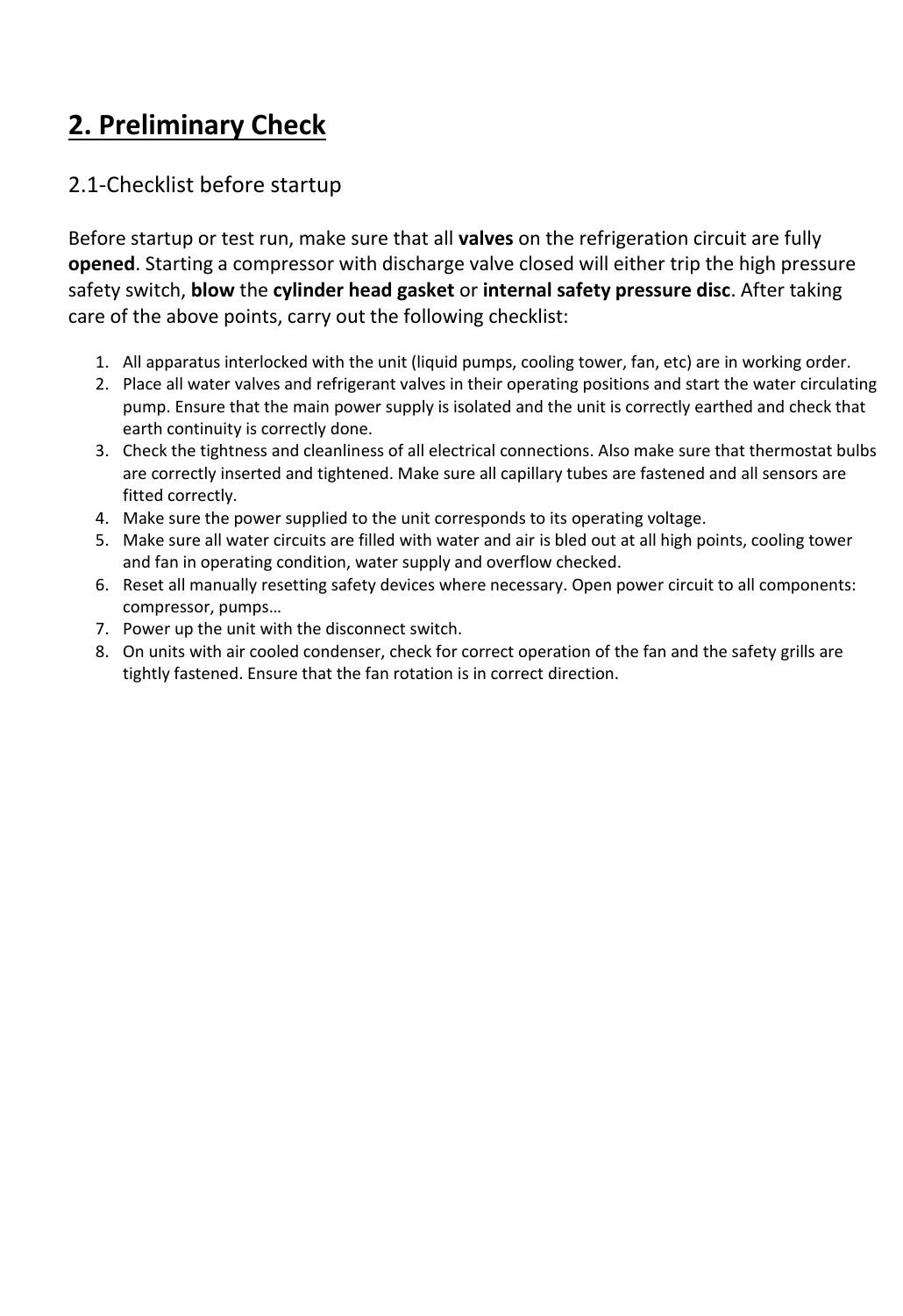## **2. Preliminary Check**

#### 2.1-Checklist before startup

Before startup or test run, make sure that all **valves** on the refrigeration circuit are fully **opened**. Starting a compressor with discharge valve closed will either trip the high pressure safety switch, **blow** the **cylinder head gasket** or **internal safety pressure disc**. After taking care of the above points, carry out the following checklist:

- 1. All apparatus interlocked with the unit (liquid pumps, cooling tower, fan, etc) are in working order.
- 2. Place all water valves and refrigerant valves in their operating positions and start the water circulating pump. Ensure that the main power supply is isolated and the unit is correctly earthed and check that earth continuity is correctly done.
- 3. Check the tightness and cleanliness of all electrical connections. Also make sure that thermostat bulbs are correctly inserted and tightened. Make sure all capillary tubes are fastened and all sensors are fitted correctly.
- 4. Make sure the power supplied to the unit corresponds to its operating voltage.
- 5. Make sure all water circuits are filled with water and air is bled out at all high points, cooling tower and fan in operating condition, water supply and overflow checked.
- 6. Reset all manually resetting safety devices where necessary. Open power circuit to all components: compressor, pumps…
- 7. Power up the unit with the disconnect switch.
- 8. On units with air cooled condenser, check for correct operation of the fan and the safety grills are tightly fastened. Ensure that the fan rotation is in correct direction.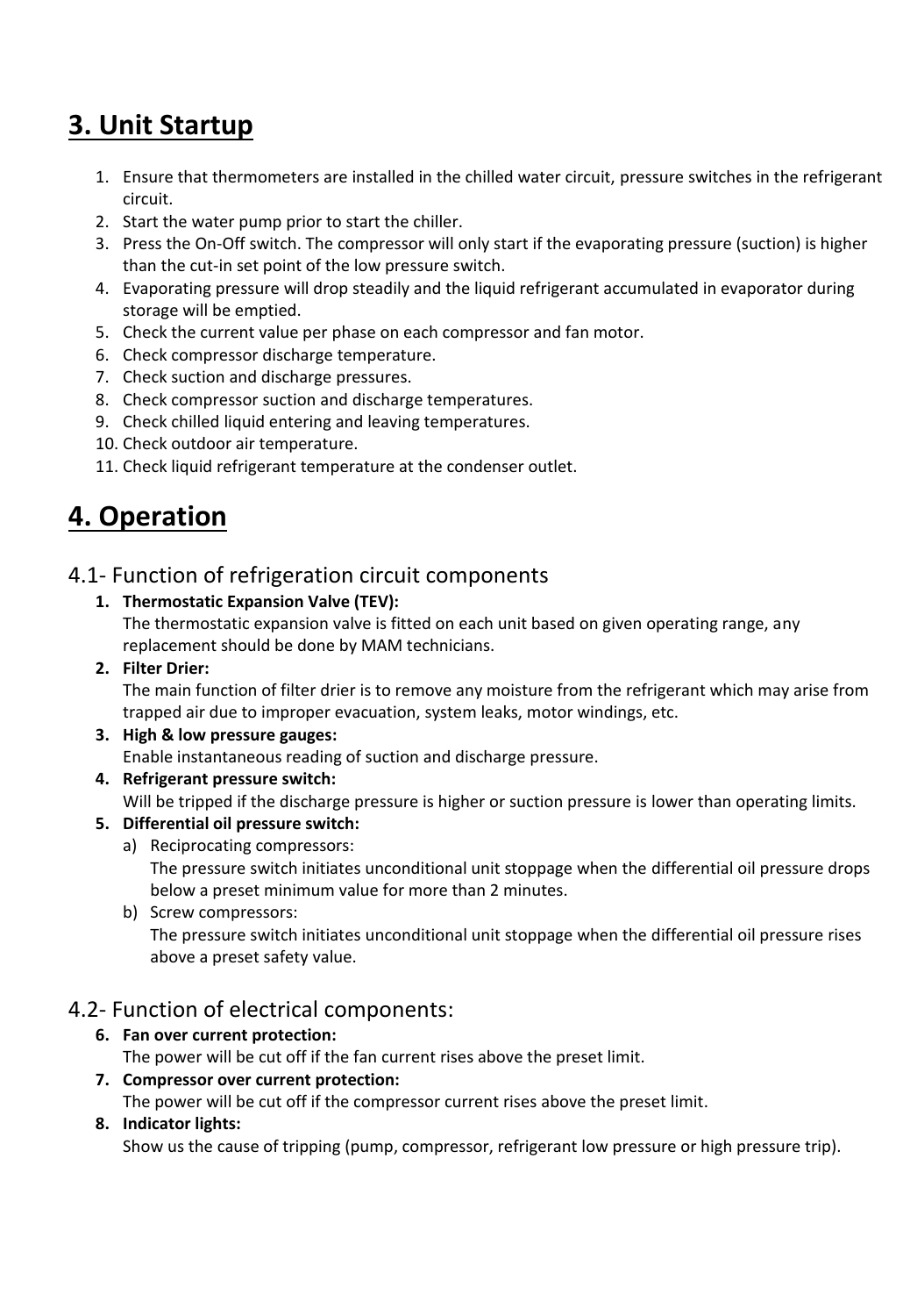## **3. Unit Startup**

- 1. Ensure that thermometers are installed in the chilled water circuit, pressure switches in the refrigerant circuit.
- 2. Start the water pump prior to start the chiller.
- 3. Press the On-Off switch. The compressor will only start if the evaporating pressure (suction) is higher than the cut-in set point of the low pressure switch.
- 4. Evaporating pressure will drop steadily and the liquid refrigerant accumulated in evaporator during storage will be emptied.
- 5. Check the current value per phase on each compressor and fan motor.
- 6. Check compressor discharge temperature.
- 7. Check suction and discharge pressures.
- 8. Check compressor suction and discharge temperatures.
- 9. Check chilled liquid entering and leaving temperatures.
- 10. Check outdoor air temperature.
- 11. Check liquid refrigerant temperature at the condenser outlet.

## **4. Operation**

#### 4.1- Function of refrigeration circuit components

#### **1. Thermostatic Expansion Valve (TEV):**

The thermostatic expansion valve is fitted on each unit based on given operating range, any replacement should be done by MAM technicians.

#### **2. Filter Drier:**

The main function of filter drier is to remove any moisture from the refrigerant which may arise from trapped air due to improper evacuation, system leaks, motor windings, etc.

#### **3. High & low pressure gauges:**

Enable instantaneous reading of suction and discharge pressure.

**4. Refrigerant pressure switch:**

Will be tripped if the discharge pressure is higher or suction pressure is lower than operating limits.

#### **5. Differential oil pressure switch:**

a) Reciprocating compressors:

The pressure switch initiates unconditional unit stoppage when the differential oil pressure drops below a preset minimum value for more than 2 minutes.

b) Screw compressors:

The pressure switch initiates unconditional unit stoppage when the differential oil pressure rises above a preset safety value.

#### 4.2- Function of electrical components:

#### **6. Fan over current protection:**

The power will be cut off if the fan current rises above the preset limit.

#### **7. Compressor over current protection:**

The power will be cut off if the compressor current rises above the preset limit.

#### **8. Indicator lights:**

Show us the cause of tripping (pump, compressor, refrigerant low pressure or high pressure trip).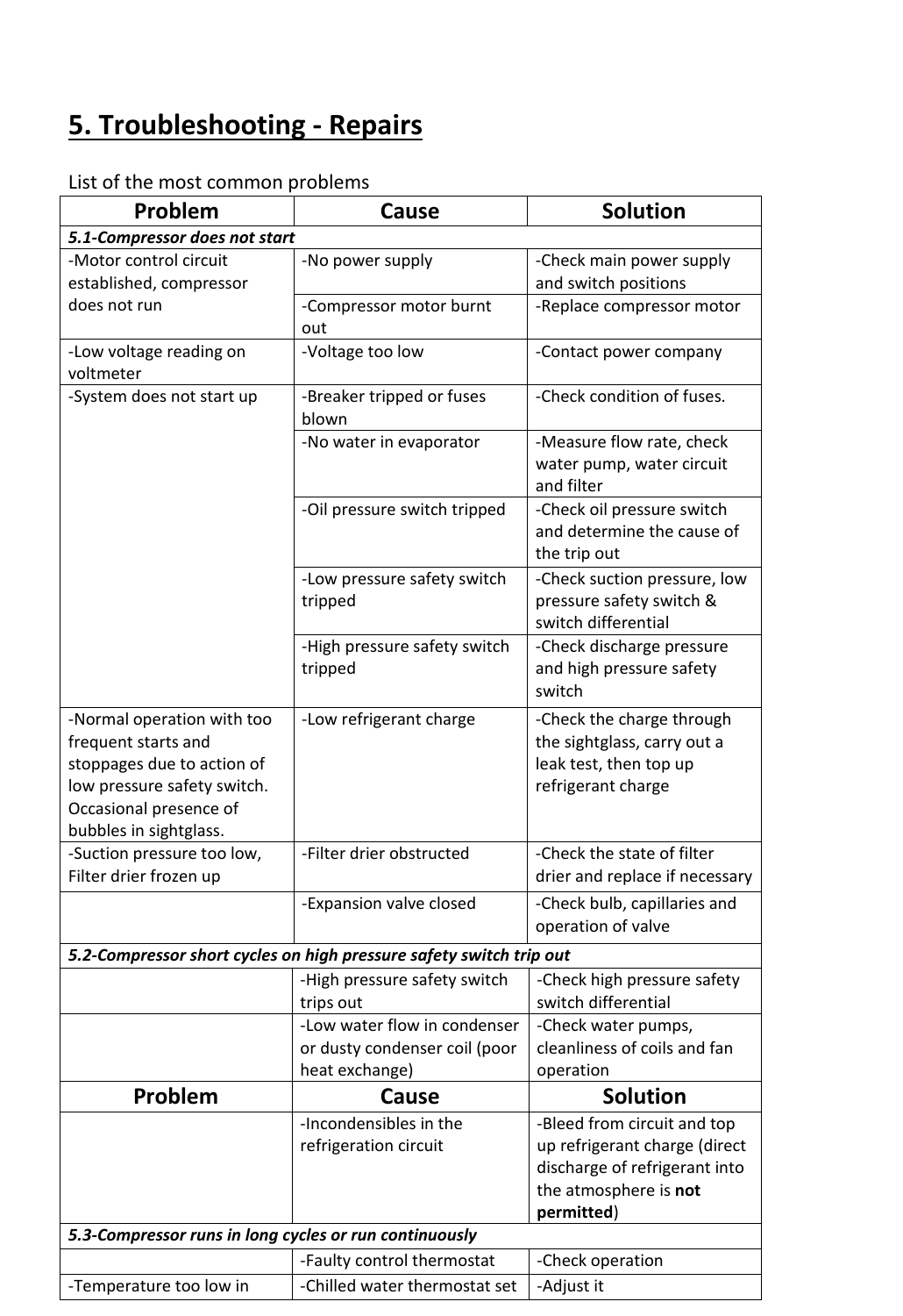# **5. Troubleshooting - Repairs**

| Problem                                                                                                                                                            | Cause                                                                           | <b>Solution</b>                                                                                                                      |  |  |
|--------------------------------------------------------------------------------------------------------------------------------------------------------------------|---------------------------------------------------------------------------------|--------------------------------------------------------------------------------------------------------------------------------------|--|--|
| 5.1-Compressor does not start                                                                                                                                      |                                                                                 |                                                                                                                                      |  |  |
| -Motor control circuit<br>established, compressor                                                                                                                  | -No power supply                                                                | -Check main power supply<br>and switch positions                                                                                     |  |  |
| does not run                                                                                                                                                       | -Compressor motor burnt<br>out                                                  | -Replace compressor motor                                                                                                            |  |  |
| -Low voltage reading on<br>voltmeter                                                                                                                               | -Voltage too low                                                                | -Contact power company                                                                                                               |  |  |
| -System does not start up                                                                                                                                          | -Breaker tripped or fuses<br>blown                                              | -Check condition of fuses.                                                                                                           |  |  |
|                                                                                                                                                                    | -No water in evaporator                                                         | -Measure flow rate, check<br>water pump, water circuit<br>and filter                                                                 |  |  |
|                                                                                                                                                                    | -Oil pressure switch tripped                                                    | -Check oil pressure switch<br>and determine the cause of<br>the trip out                                                             |  |  |
|                                                                                                                                                                    | -Low pressure safety switch<br>tripped                                          | -Check suction pressure, low<br>pressure safety switch &<br>switch differential                                                      |  |  |
|                                                                                                                                                                    | -High pressure safety switch<br>tripped                                         | -Check discharge pressure<br>and high pressure safety<br>switch                                                                      |  |  |
| -Normal operation with too<br>frequent starts and<br>stoppages due to action of<br>low pressure safety switch.<br>Occasional presence of<br>bubbles in sightglass. | -Low refrigerant charge                                                         | -Check the charge through<br>the sightglass, carry out a<br>leak test, then top up<br>refrigerant charge                             |  |  |
| -Suction pressure too low,<br>Filter drier frozen up                                                                                                               | -Filter drier obstructed                                                        | -Check the state of filter<br>drier and replace if necessary                                                                         |  |  |
|                                                                                                                                                                    | -Expansion valve closed                                                         | -Check bulb, capillaries and<br>operation of valve                                                                                   |  |  |
|                                                                                                                                                                    | 5.2-Compressor short cycles on high pressure safety switch trip out             |                                                                                                                                      |  |  |
|                                                                                                                                                                    | -High pressure safety switch<br>trips out                                       | -Check high pressure safety<br>switch differential                                                                                   |  |  |
|                                                                                                                                                                    | -Low water flow in condenser<br>or dusty condenser coil (poor<br>heat exchange) | -Check water pumps,<br>cleanliness of coils and fan<br>operation                                                                     |  |  |
| Problem                                                                                                                                                            | Cause                                                                           | <b>Solution</b>                                                                                                                      |  |  |
|                                                                                                                                                                    | -Incondensibles in the<br>refrigeration circuit                                 | -Bleed from circuit and top<br>up refrigerant charge (direct<br>discharge of refrigerant into<br>the atmosphere is not<br>permitted) |  |  |
| 5.3-Compressor runs in long cycles or run continuously                                                                                                             |                                                                                 |                                                                                                                                      |  |  |
|                                                                                                                                                                    | -Faulty control thermostat                                                      | -Check operation                                                                                                                     |  |  |
| -Temperature too low in                                                                                                                                            | -Chilled water thermostat set                                                   | -Adjust it                                                                                                                           |  |  |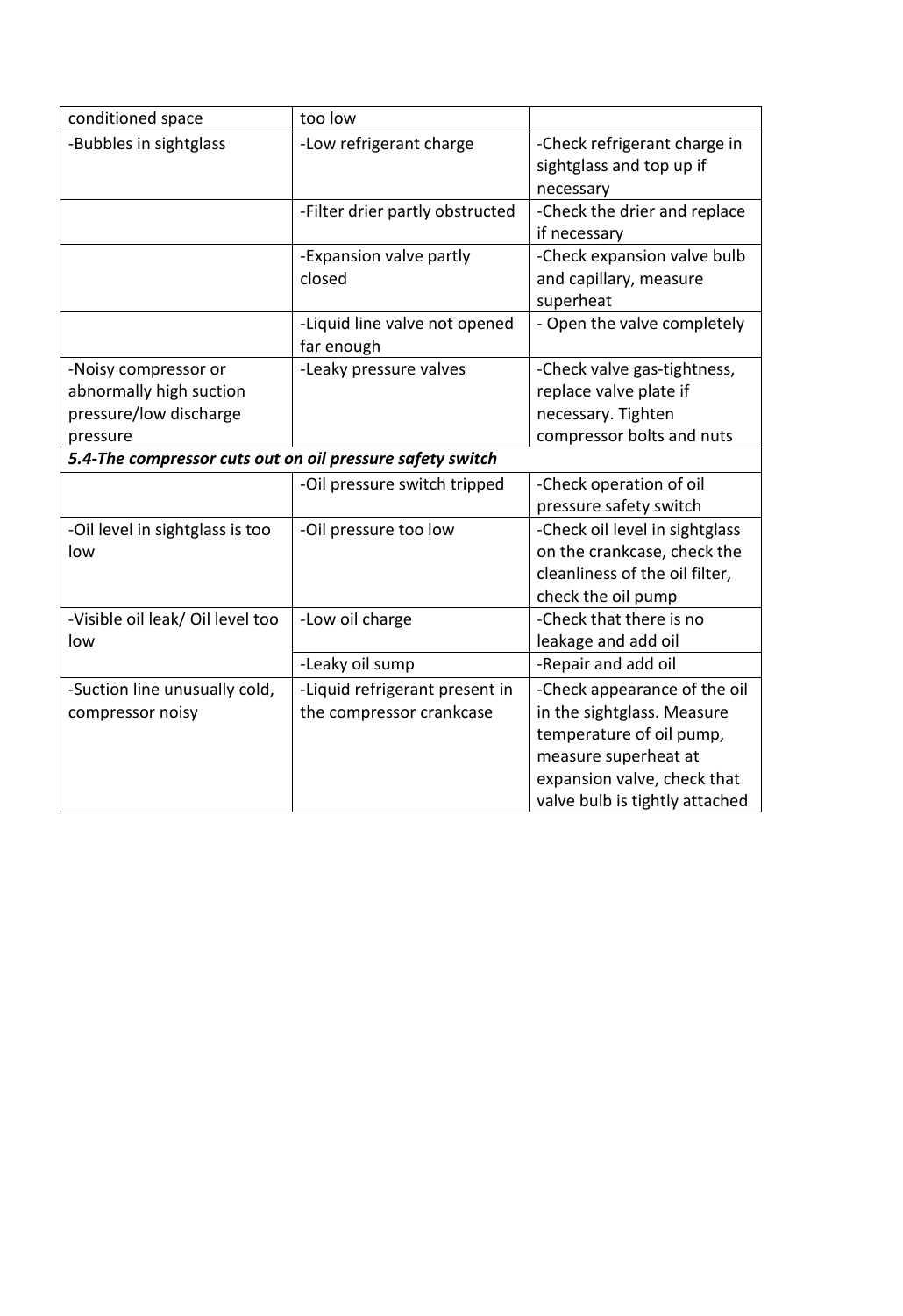| conditioned space                                                                     | too low                                                    |                                                                                                                                                                                 |  |
|---------------------------------------------------------------------------------------|------------------------------------------------------------|---------------------------------------------------------------------------------------------------------------------------------------------------------------------------------|--|
| -Bubbles in sightglass                                                                | -Low refrigerant charge                                    | -Check refrigerant charge in<br>sightglass and top up if<br>necessary                                                                                                           |  |
|                                                                                       | -Filter drier partly obstructed                            | -Check the drier and replace<br>if necessary                                                                                                                                    |  |
|                                                                                       | -Expansion valve partly<br>closed                          | -Check expansion valve bulb<br>and capillary, measure<br>superheat                                                                                                              |  |
|                                                                                       | -Liquid line valve not opened<br>far enough                | - Open the valve completely                                                                                                                                                     |  |
| -Noisy compressor or<br>abnormally high suction<br>pressure/low discharge<br>pressure | -Leaky pressure valves                                     | -Check valve gas-tightness,<br>replace valve plate if<br>necessary. Tighten<br>compressor bolts and nuts                                                                        |  |
| 5.4-The compressor cuts out on oil pressure safety switch                             |                                                            |                                                                                                                                                                                 |  |
|                                                                                       | -Oil pressure switch tripped                               | -Check operation of oil<br>pressure safety switch                                                                                                                               |  |
| -Oil level in sightglass is too<br>low                                                | -Oil pressure too low                                      | -Check oil level in sightglass<br>on the crankcase, check the<br>cleanliness of the oil filter,<br>check the oil pump                                                           |  |
| -Visible oil leak/ Oil level too<br>low                                               | -Low oil charge                                            | -Check that there is no<br>leakage and add oil                                                                                                                                  |  |
|                                                                                       | -Leaky oil sump                                            | -Repair and add oil                                                                                                                                                             |  |
| -Suction line unusually cold,<br>compressor noisy                                     | -Liquid refrigerant present in<br>the compressor crankcase | -Check appearance of the oil<br>in the sightglass. Measure<br>temperature of oil pump,<br>measure superheat at<br>expansion valve, check that<br>valve bulb is tightly attached |  |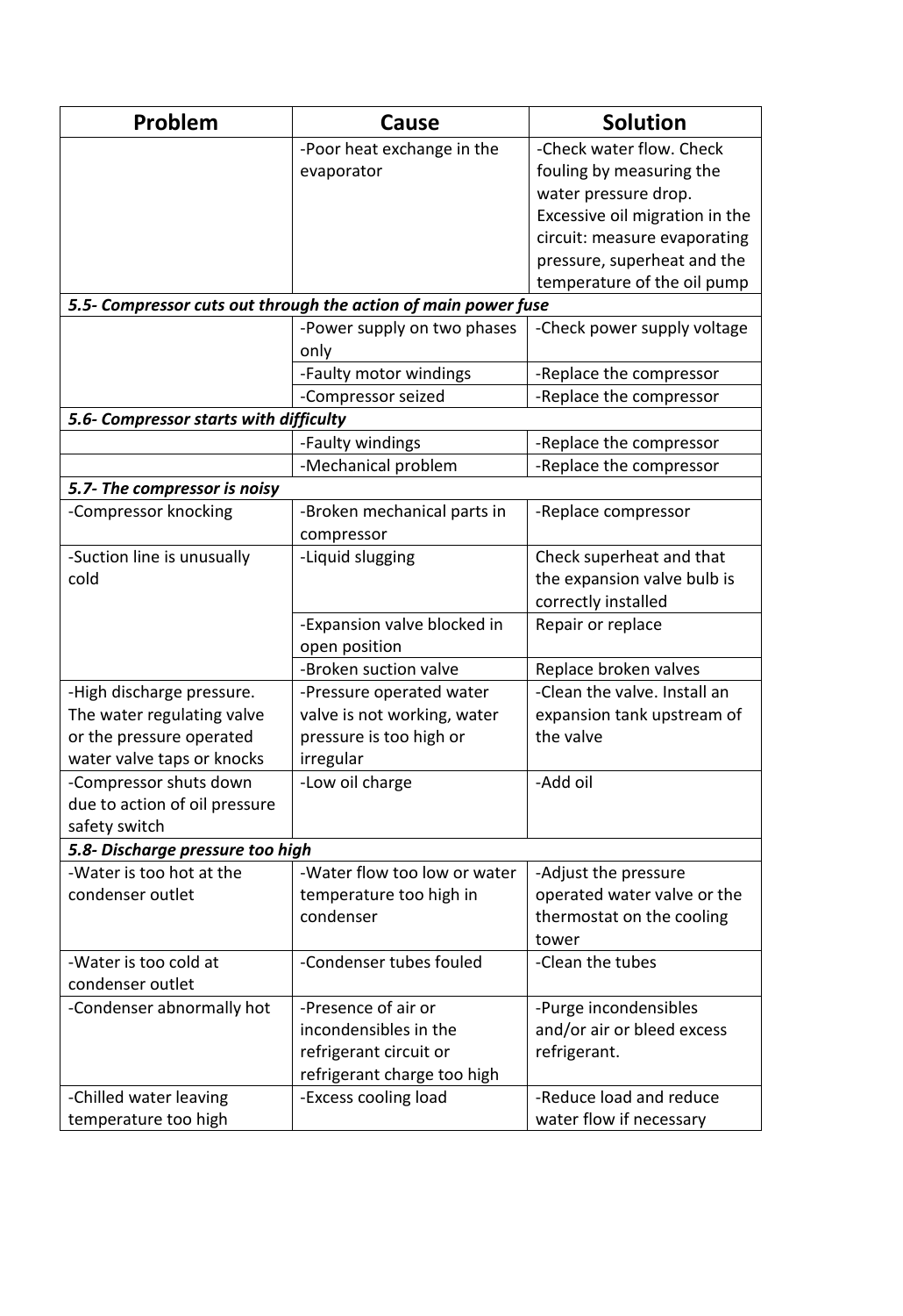| Problem                                | Cause                                                          | <b>Solution</b>                |  |
|----------------------------------------|----------------------------------------------------------------|--------------------------------|--|
|                                        | -Poor heat exchange in the                                     | -Check water flow. Check       |  |
|                                        | evaporator                                                     | fouling by measuring the       |  |
|                                        |                                                                | water pressure drop.           |  |
|                                        |                                                                | Excessive oil migration in the |  |
|                                        |                                                                | circuit: measure evaporating   |  |
|                                        |                                                                | pressure, superheat and the    |  |
|                                        |                                                                | temperature of the oil pump    |  |
|                                        | 5.5- Compressor cuts out through the action of main power fuse |                                |  |
|                                        | -Power supply on two phases                                    | -Check power supply voltage    |  |
|                                        | only                                                           |                                |  |
|                                        | -Faulty motor windings                                         | -Replace the compressor        |  |
|                                        | -Compressor seized                                             | -Replace the compressor        |  |
| 5.6- Compressor starts with difficulty |                                                                |                                |  |
|                                        | -Faulty windings                                               | -Replace the compressor        |  |
|                                        | -Mechanical problem                                            | -Replace the compressor        |  |
| 5.7- The compressor is noisy           |                                                                |                                |  |
| -Compressor knocking                   | -Broken mechanical parts in                                    | -Replace compressor            |  |
|                                        | compressor                                                     |                                |  |
| -Suction line is unusually             | -Liquid slugging                                               | Check superheat and that       |  |
| cold                                   |                                                                | the expansion valve bulb is    |  |
|                                        |                                                                | correctly installed            |  |
|                                        | -Expansion valve blocked in                                    | Repair or replace              |  |
|                                        | open position                                                  |                                |  |
|                                        | -Broken suction valve                                          | Replace broken valves          |  |
| -High discharge pressure.              | -Pressure operated water                                       | -Clean the valve. Install an   |  |
| The water regulating valve             | valve is not working, water                                    | expansion tank upstream of     |  |
| or the pressure operated               | pressure is too high or                                        | the valve                      |  |
| water valve taps or knocks             | irregular                                                      |                                |  |
| Compressor shuts down                  | -Low oil charge                                                | -Add oil                       |  |
| due to action of oil pressure          |                                                                |                                |  |
| safety switch                          |                                                                |                                |  |
| 5.8- Discharge pressure too high       |                                                                |                                |  |
| -Water is too hot at the               | -Water flow too low or water                                   | -Adjust the pressure           |  |
| condenser outlet                       | temperature too high in                                        | operated water valve or the    |  |
|                                        | condenser                                                      | thermostat on the cooling      |  |
|                                        |                                                                | tower                          |  |
| -Water is too cold at                  | -Condenser tubes fouled                                        | -Clean the tubes               |  |
| condenser outlet                       |                                                                |                                |  |
| -Condenser abnormally hot              | -Presence of air or                                            | -Purge incondensibles          |  |
|                                        | incondensibles in the                                          | and/or air or bleed excess     |  |
|                                        | refrigerant circuit or                                         | refrigerant.                   |  |
|                                        | refrigerant charge too high                                    |                                |  |
| -Chilled water leaving                 | -Excess cooling load                                           | -Reduce load and reduce        |  |
| temperature too high                   |                                                                | water flow if necessary        |  |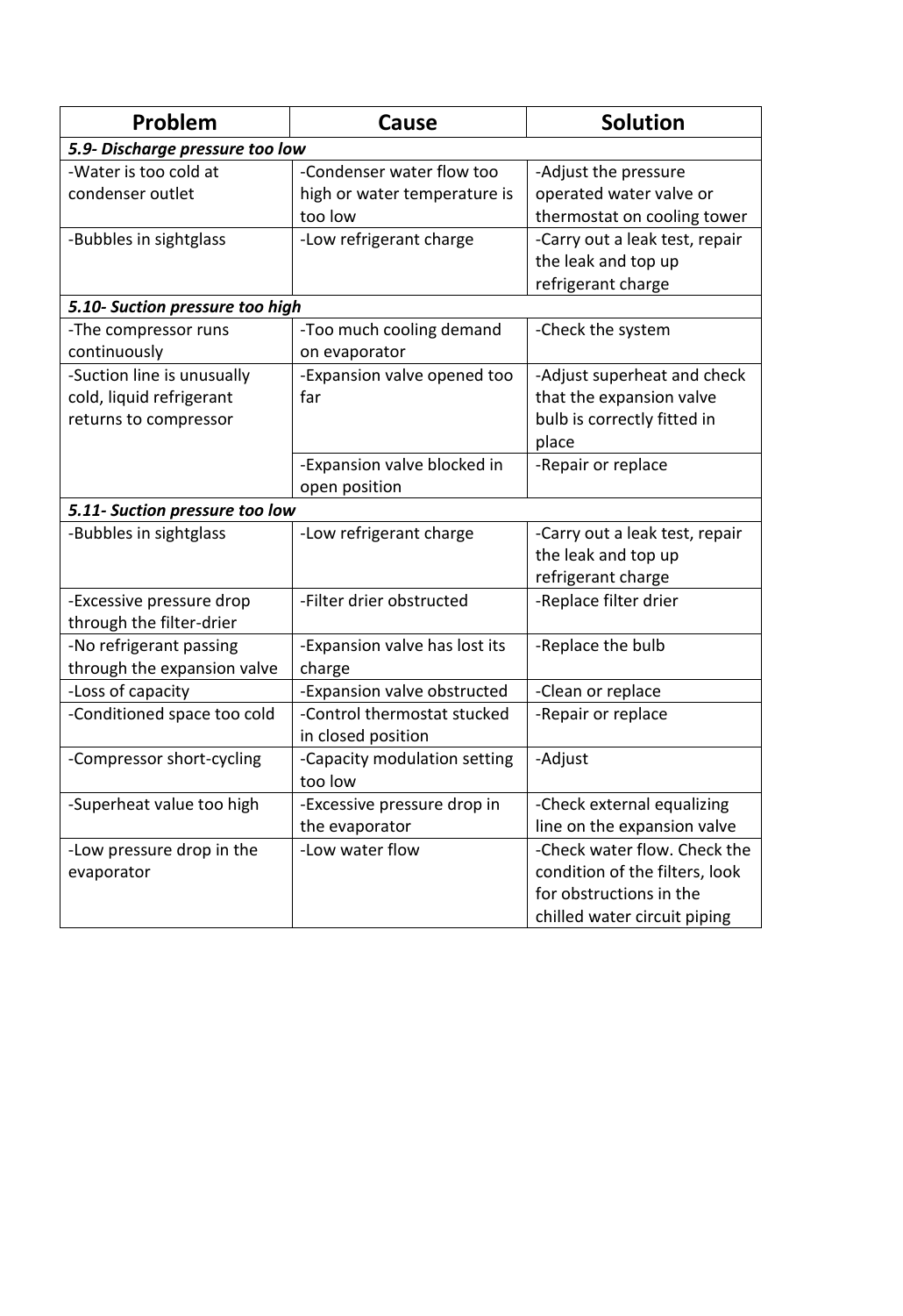| Problem                                                                         | Cause                                                                | <b>Solution</b>                                                                                                           |  |
|---------------------------------------------------------------------------------|----------------------------------------------------------------------|---------------------------------------------------------------------------------------------------------------------------|--|
| 5.9- Discharge pressure too low                                                 |                                                                      |                                                                                                                           |  |
| -Water is too cold at<br>condenser outlet                                       | -Condenser water flow too<br>high or water temperature is<br>too low | -Adjust the pressure<br>operated water valve or<br>thermostat on cooling tower                                            |  |
| -Bubbles in sightglass                                                          | -Low refrigerant charge                                              | -Carry out a leak test, repair<br>the leak and top up<br>refrigerant charge                                               |  |
| 5.10- Suction pressure too high                                                 |                                                                      |                                                                                                                           |  |
| -The compressor runs<br>continuously                                            | -Too much cooling demand<br>on evaporator                            | -Check the system                                                                                                         |  |
| -Suction line is unusually<br>cold, liquid refrigerant<br>returns to compressor | -Expansion valve opened too<br>far                                   | -Adjust superheat and check<br>that the expansion valve<br>bulb is correctly fitted in<br>place                           |  |
|                                                                                 | -Expansion valve blocked in<br>open position                         | -Repair or replace                                                                                                        |  |
| 5.11- Suction pressure too low                                                  |                                                                      |                                                                                                                           |  |
| -Bubbles in sightglass                                                          | -Low refrigerant charge                                              | -Carry out a leak test, repair<br>the leak and top up<br>refrigerant charge                                               |  |
| -Excessive pressure drop<br>through the filter-drier                            | -Filter drier obstructed                                             | -Replace filter drier                                                                                                     |  |
| -No refrigerant passing<br>through the expansion valve                          | -Expansion valve has lost its<br>charge                              | -Replace the bulb                                                                                                         |  |
| -Loss of capacity                                                               | -Expansion valve obstructed                                          | -Clean or replace                                                                                                         |  |
| -Conditioned space too cold                                                     | -Control thermostat stucked<br>in closed position                    | -Repair or replace                                                                                                        |  |
| -Compressor short-cycling                                                       | -Capacity modulation setting<br>too low                              | -Adjust                                                                                                                   |  |
| -Superheat value too high                                                       | -Excessive pressure drop in<br>the evaporator                        | -Check external equalizing<br>line on the expansion valve                                                                 |  |
| -Low pressure drop in the<br>evaporator                                         | -Low water flow                                                      | -Check water flow. Check the<br>condition of the filters, look<br>for obstructions in the<br>chilled water circuit piping |  |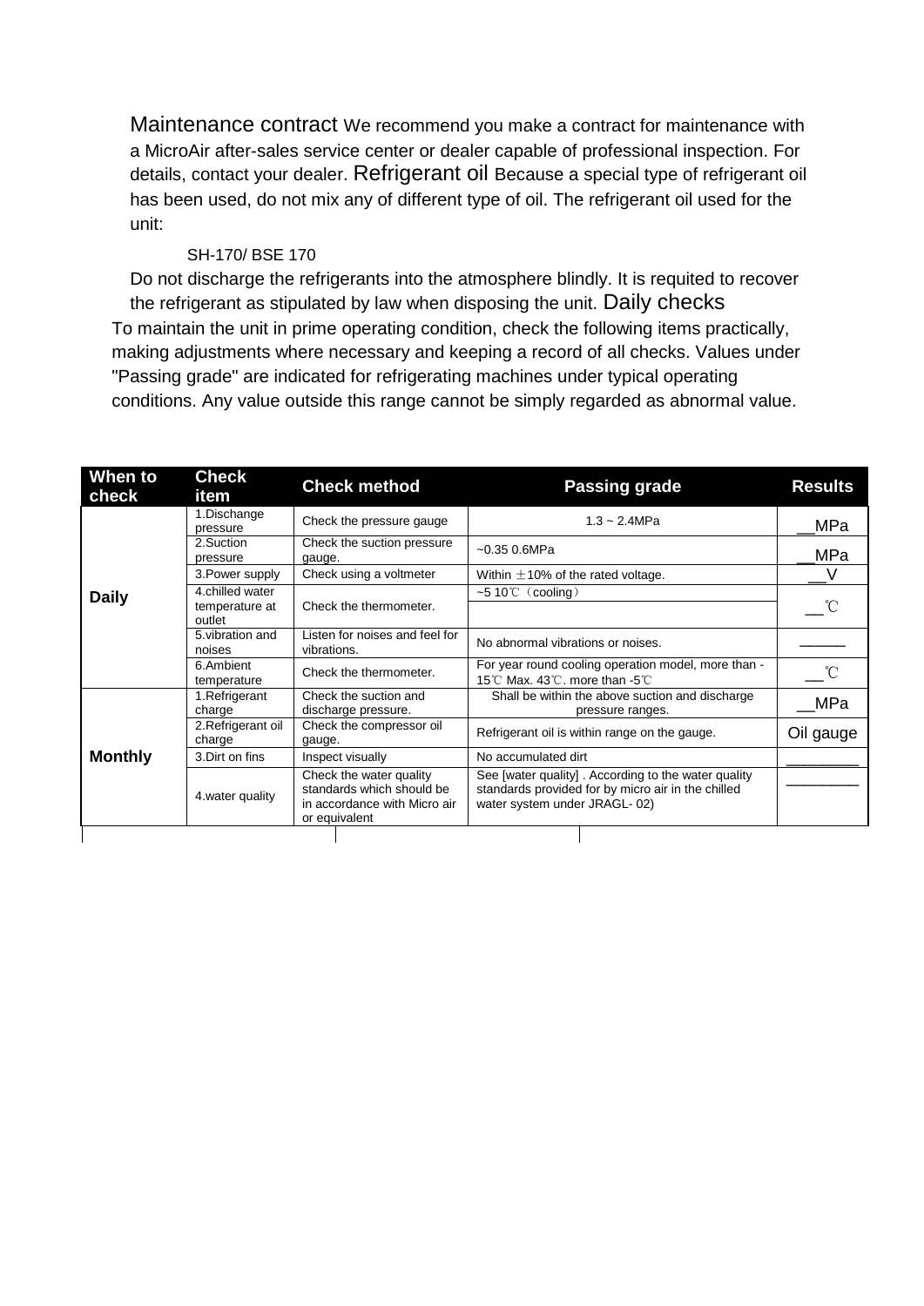Maintenance contract We recommend you make a contract for maintenance with a MicroAir after-sales service center or dealer capable of professional inspection. For details, contact your dealer. Refrigerant oil Because a special type of refrigerant oil has been used, do not mix any of different type of oil. The refrigerant oil used for the unit:

#### SH-170/ BSE 170

Do not discharge the refrigerants into the atmosphere blindly. It is requited to recover the refrigerant as stipulated by law when disposing the unit. Daily checks To maintain the unit in prime operating condition, check the following items practically, making adjustments where necessary and keeping a record of all checks. Values under "Passing grade" are indicated for refrigerating machines under typical operating conditions. Any value outside this range cannot be simply regarded as abnormal value.

| When to<br>check | <b>Check</b><br>item         | <b>Check method</b>                                                                                   | <b>Passing grade</b>                                                                                                                      | <b>Results</b> |
|------------------|------------------------------|-------------------------------------------------------------------------------------------------------|-------------------------------------------------------------------------------------------------------------------------------------------|----------------|
|                  | 1.Dischange<br>pressure      | Check the pressure gauge                                                                              | $1.3 - 2.4 MPa$                                                                                                                           | MPa            |
|                  | 2.Suction<br>pressure        | Check the suction pressure<br>gauge.                                                                  | $-0.35$ 0.6MPa                                                                                                                            | MPa            |
|                  | 3. Power supply              | Check using a voltmeter                                                                               | Within $\pm$ 10% of the rated voltage.                                                                                                    |                |
| <b>Daily</b>     | 4.chilled water              |                                                                                                       | ~5 10 $°C$ (cooling)                                                                                                                      |                |
|                  | temperature at<br>outlet     | Check the thermometer.                                                                                |                                                                                                                                           |                |
|                  | 5. vibration and<br>noises   | Listen for noises and feel for<br>vibrations.                                                         | No abnormal vibrations or noises.                                                                                                         |                |
|                  | 6.Ambient<br>temperature     | Check the thermometer.                                                                                | For year round cooling operation model, more than -<br>15℃ Max. 43℃, more than -5℃                                                        |                |
|                  | 1. Refrigerant<br>charge     | Check the suction and<br>discharge pressure.                                                          | Shall be within the above suction and discharge<br>pressure ranges.                                                                       | <b>MPa</b>     |
|                  | 2. Refrigerant oil<br>charge | Check the compressor oil<br>gauge.                                                                    | Refrigerant oil is within range on the gauge.                                                                                             | Oil gauge      |
| <b>Monthly</b>   | 3. Dirt on fins              | Inspect visually                                                                                      | No accumulated dirt                                                                                                                       |                |
|                  | 4. water quality             | Check the water quality<br>standards which should be<br>in accordance with Micro air<br>or equivalent | See [water quality]. According to the water quality<br>standards provided for by micro air in the chilled<br>water system under JRAGL-02) |                |
|                  |                              |                                                                                                       |                                                                                                                                           |                |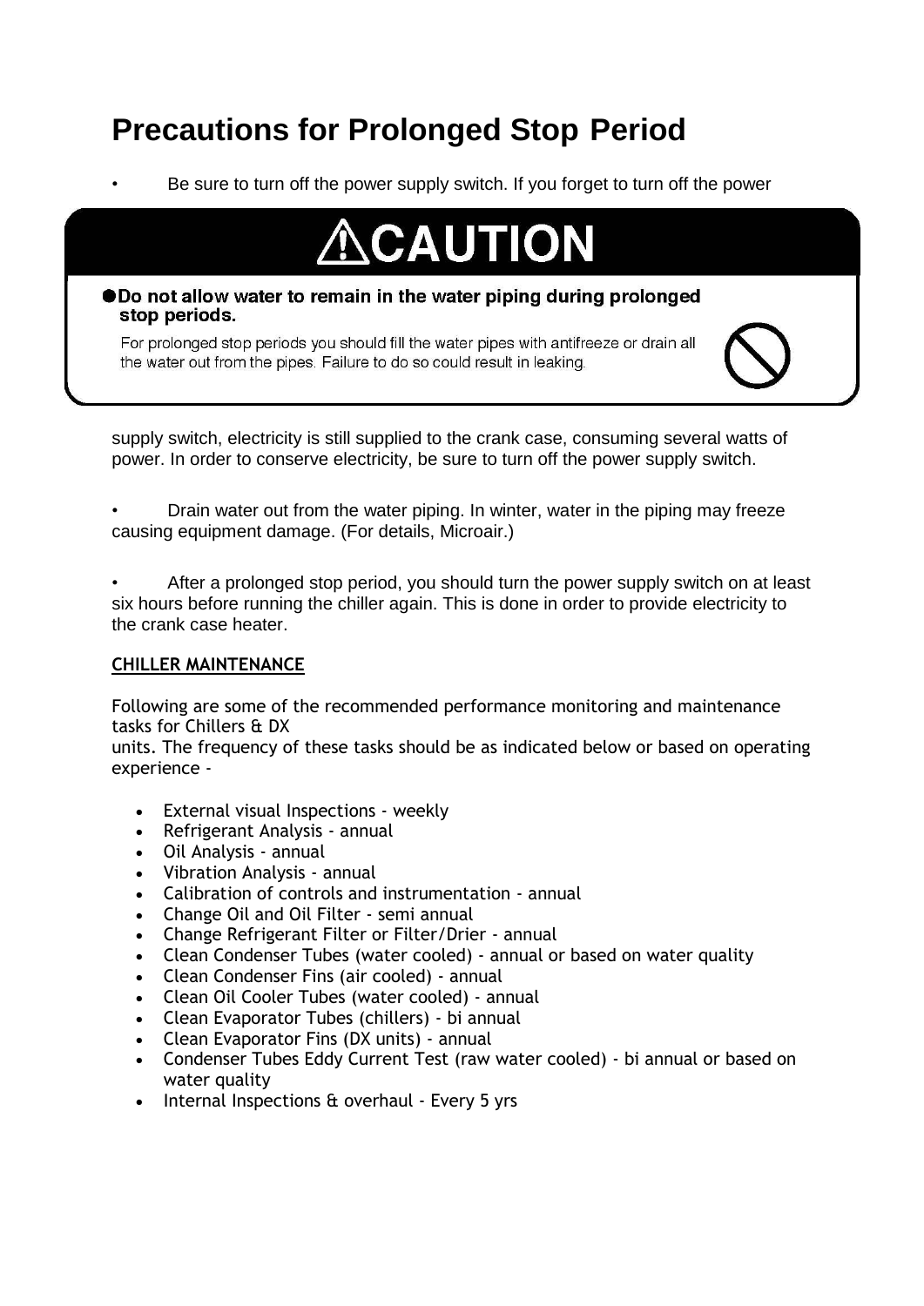# **Precautions for Prolonged Stop Period**

• Be sure to turn off the power supply switch. If you forget to turn off the power



#### ● Do not allow water to remain in the water piping during prolonged stop periods.

For prolonged stop periods you should fill the water pipes with antifreeze or drain all the water out from the pipes. Failure to do so could result in leaking.

supply switch, electricity is still supplied to the crank case, consuming several watts of power. In order to conserve electricity, be sure to turn off the power supply switch.

• Drain water out from the water piping. In winter, water in the piping may freeze causing equipment damage. (For details, Microair.)

After a prolonged stop period, you should turn the power supply switch on at least six hours before running the chiller again. This is done in order to provide electricity to the crank case heater.

#### **CHILLER MAINTENANCE**

Following are some of the recommended performance monitoring and maintenance tasks for Chillers & DX

units. The frequency of these tasks should be as indicated below or based on operating experience -

- External visual Inspections weekly
- Refrigerant Analysis annual
- Oil Analysis annual
- Vibration Analysis annual
- Calibration of controls and instrumentation annual
- Change Oil and Oil Filter semi annual
- Change Refrigerant Filter or Filter/Drier annual
- Clean Condenser Tubes (water cooled) annual or based on water quality
- Clean Condenser Fins (air cooled) annual
- Clean Oil Cooler Tubes (water cooled) annual
- Clean Evaporator Tubes (chillers) bi annual
- Clean Evaporator Fins (DX units) annual
- Condenser Tubes Eddy Current Test (raw water cooled) bi annual or based on water quality
- Internal Inspections & overhaul Every 5 yrs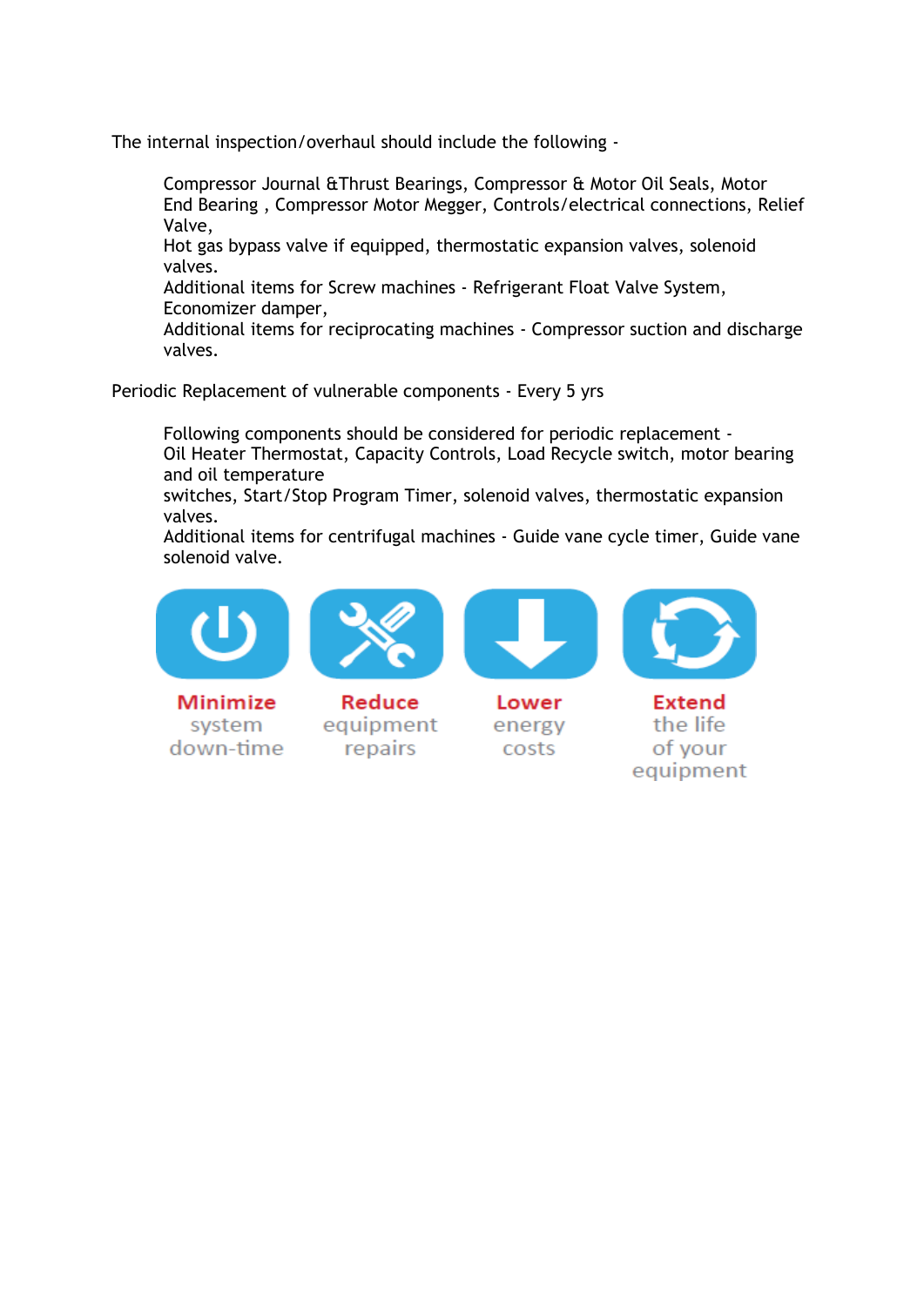The internal inspection/overhaul should include the following -

Compressor Journal &Thrust Bearings, Compressor & Motor Oil Seals, Motor End Bearing , Compressor Motor Megger, Controls/electrical connections, Relief Valve,

Hot gas bypass valve if equipped, thermostatic expansion valves, solenoid valves.

Additional items for Screw machines - Refrigerant Float Valve System, Economizer damper,

Additional items for reciprocating machines - Compressor suction and discharge valves.

Periodic Replacement of vulnerable components - Every 5 yrs

Following components should be considered for periodic replacement - Oil Heater Thermostat, Capacity Controls, Load Recycle switch, motor bearing and oil temperature

switches, Start/Stop Program Timer, solenoid valves, thermostatic expansion valves.

Additional items for centrifugal machines - Guide vane cycle timer, Guide vane solenoid valve.



Minimize system down-time



Reduce equipment repairs



Lower energy costs



**Extend** the life of your equipment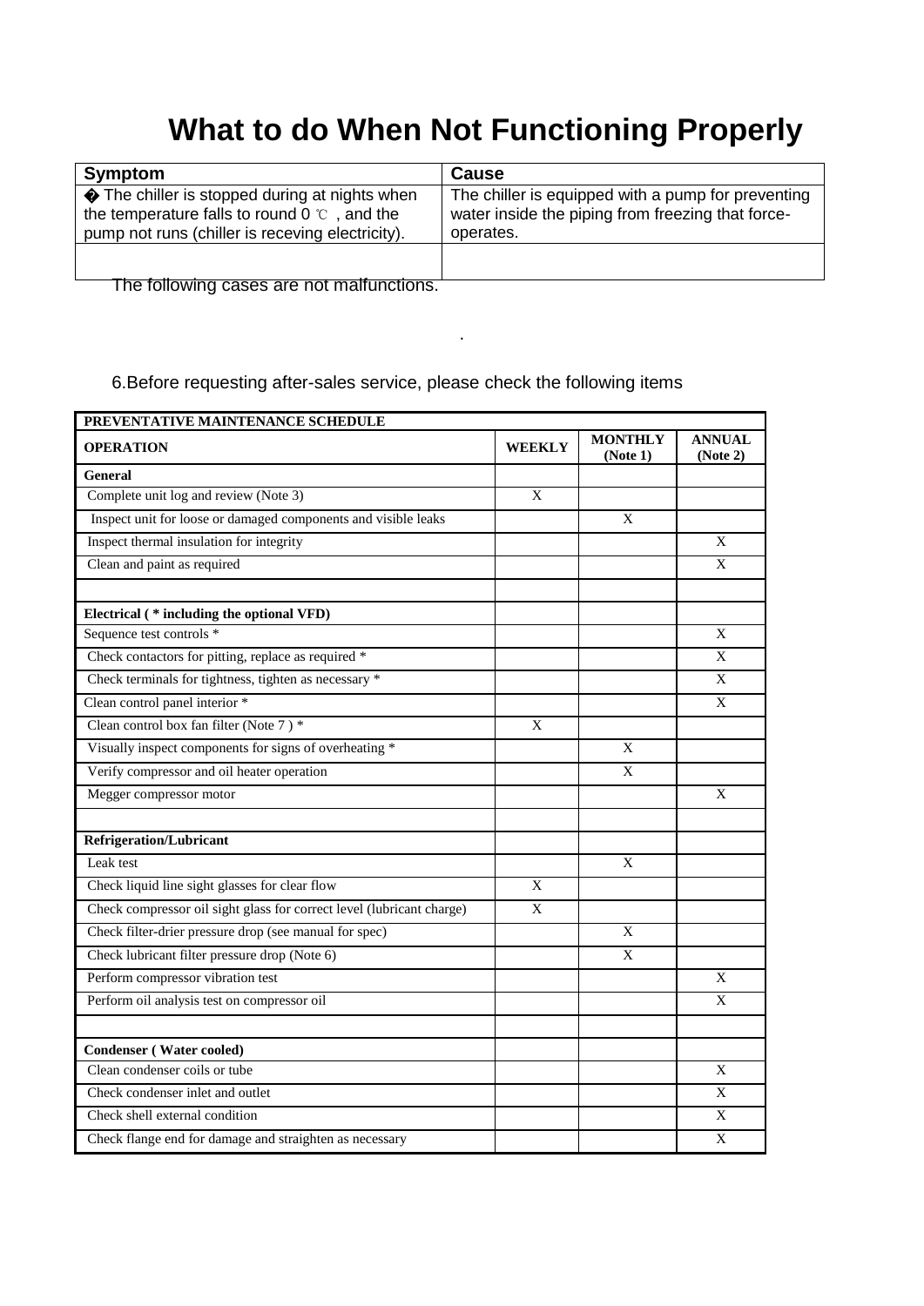# **What to do When Not Functioning Properly**

| Symptom                                                                                                                                                   | <b>Cause</b>                                                                                                         |
|-----------------------------------------------------------------------------------------------------------------------------------------------------------|----------------------------------------------------------------------------------------------------------------------|
| The chiller is stopped during at nights when<br>the temperature falls to round $0^{\circ}$ c, and the<br>pump not runs (chiller is receving electricity). | The chiller is equipped with a pump for preventing<br>water inside the piping from freezing that force-<br>operates. |
|                                                                                                                                                           |                                                                                                                      |
| The following cases are not malfunctions.                                                                                                                 |                                                                                                                      |

.

#### 6.Before requesting after-sales service, please check the following items

| PREVENTATIVE MAINTENANCE SCHEDULE                                     |               |                            |                           |  |  |  |
|-----------------------------------------------------------------------|---------------|----------------------------|---------------------------|--|--|--|
| <b>OPERATION</b>                                                      | <b>WEEKLY</b> | <b>MONTHLY</b><br>(Note 1) | <b>ANNUAL</b><br>(Note 2) |  |  |  |
| <b>General</b>                                                        |               |                            |                           |  |  |  |
| Complete unit log and review (Note 3)                                 | X             |                            |                           |  |  |  |
| Inspect unit for loose or damaged components and visible leaks        |               | $\mathbf{X}$               |                           |  |  |  |
| Inspect thermal insulation for integrity                              |               |                            | X                         |  |  |  |
| Clean and paint as required                                           |               |                            | X                         |  |  |  |
|                                                                       |               |                            |                           |  |  |  |
| Electrical (* including the optional VFD)                             |               |                            |                           |  |  |  |
| Sequence test controls *                                              |               |                            | X                         |  |  |  |
| Check contactors for pitting, replace as required *                   |               |                            | X                         |  |  |  |
| Check terminals for tightness, tighten as necessary *                 |               |                            | X                         |  |  |  |
| Clean control panel interior *                                        |               |                            | X                         |  |  |  |
| Clean control box fan filter (Note 7) *                               | X             |                            |                           |  |  |  |
| Visually inspect components for signs of overheating *                |               | X                          |                           |  |  |  |
| Verify compressor and oil heater operation                            |               | $\mathbf X$                |                           |  |  |  |
| Megger compressor motor                                               |               |                            | X                         |  |  |  |
| <b>Refrigeration/Lubricant</b>                                        |               |                            |                           |  |  |  |
| Leak test                                                             |               | X                          |                           |  |  |  |
| Check liquid line sight glasses for clear flow                        | X             |                            |                           |  |  |  |
| Check compressor oil sight glass for correct level (lubricant charge) | X             |                            |                           |  |  |  |
| Check filter-drier pressure drop (see manual for spec)                |               | X                          |                           |  |  |  |
| Check lubricant filter pressure drop (Note 6)                         |               | X                          |                           |  |  |  |
| Perform compressor vibration test                                     |               |                            | X                         |  |  |  |
| Perform oil analysis test on compressor oil                           |               |                            | X                         |  |  |  |
| <b>Condenser</b> (Water cooled)                                       |               |                            |                           |  |  |  |
| Clean condenser coils or tube                                         |               |                            | X                         |  |  |  |
| Check condenser inlet and outlet                                      |               |                            | X                         |  |  |  |
|                                                                       |               |                            |                           |  |  |  |
| Check shell external condition                                        |               |                            | X                         |  |  |  |
| Check flange end for damage and straighten as necessary               |               |                            | X                         |  |  |  |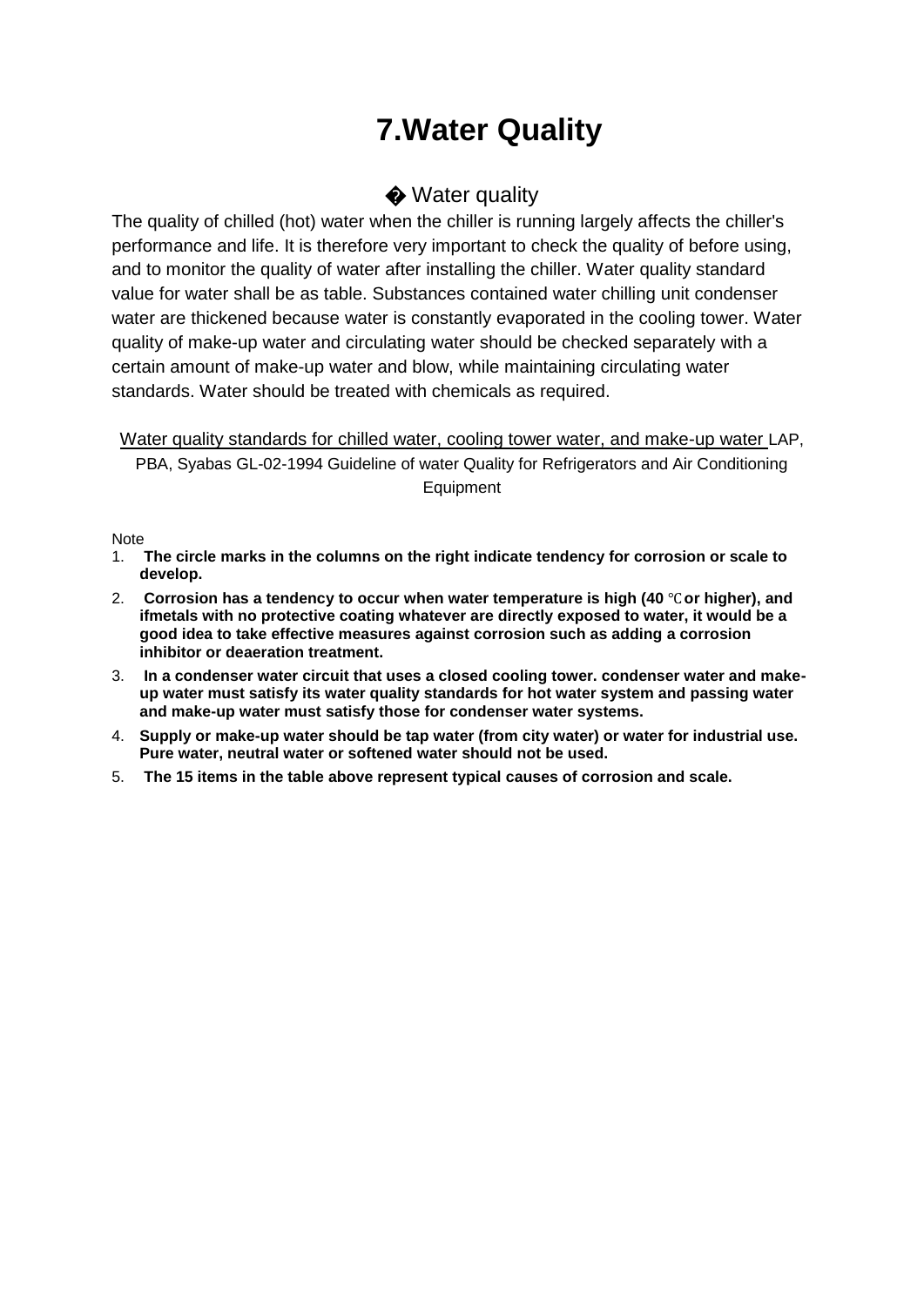# **7.Water Quality**

#### ♦ Water quality

The quality of chilled (hot) water when the chiller is running largely affects the chiller's performance and life. It is therefore very important to check the quality of before using, and to monitor the quality of water after installing the chiller. Water quality standard value for water shall be as table. Substances contained water chilling unit condenser water are thickened because water is constantly evaporated in the cooling tower. Water quality of make-up water and circulating water should be checked separately with a certain amount of make-up water and blow, while maintaining circulating water standards. Water should be treated with chemicals as required.

Water quality standards for chilled water, cooling tower water, and make-up water LAP. PBA, Syabas GL-02-1994 Guideline of water Quality for Refrigerators and Air Conditioning **Equipment** 

Note

- 1. **The circle marks in the columns on the right indicate tendency for corrosion or scale to develop.**
- 2. **Corrosion has a tendency to occur when water temperature is high (40** ℃**or higher), and ifmetals with no protective coating whatever are directly exposed to water, it would be a good idea to take effective measures against corrosion such as adding a corrosion inhibitor or deaeration treatment.**
- 3. **In a condenser water circuit that uses a closed cooling tower. condenser water and makeup water must satisfy its water quality standards for hot water system and passing water and make-up water must satisfy those for condenser water systems.**
- 4. **Supply or make-up water should be tap water (from city water) or water for industrial use. Pure water, neutral water or softened water should not be used.**
- 5. **The 15 items in the table above represent typical causes of corrosion and scale.**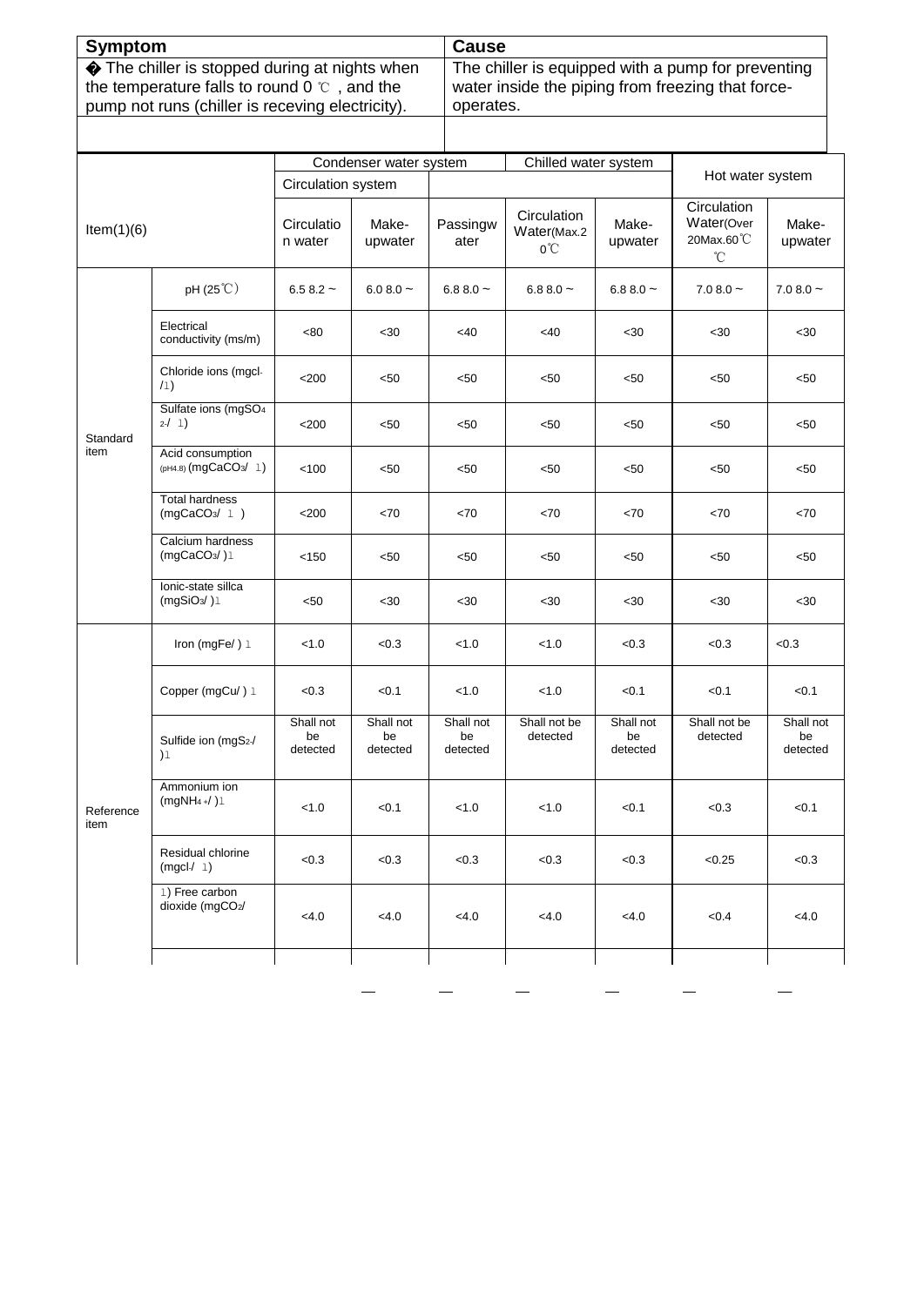| Symptom                                              | <b>Cause</b>                                       |
|------------------------------------------------------|----------------------------------------------------|
| The chiller is stopped during at nights when         | The chiller is equipped with a pump for preventing |
| the temperature falls to round 0 $\degree$ , and the | water inside the piping from freezing that force-  |
| pump not runs (chiller is receving electricity).     | operates.                                          |

|                   |                                                    | Condenser water system                      |                             |                             | Chilled water system                        |                             | Hot water system                                        |                             |
|-------------------|----------------------------------------------------|---------------------------------------------|-----------------------------|-----------------------------|---------------------------------------------|-----------------------------|---------------------------------------------------------|-----------------------------|
| Item(1)(6)        |                                                    | Circulation system<br>Circulatio<br>n water | Make-<br>upwater            | Passingw<br>ater            | Circulation<br>Water(Max.2<br>$0^{\circ}$ C | Make-<br>upwater            | Circulation<br>Water(Over<br>20Max.60°C<br>$^{\circ}$ C | Make-<br>upwater            |
|                   | pH (25°C)                                          | $6.58.2 -$                                  | $6.08.0 -$                  | 6.8 8.0 $\sim$              | 6.88.0 $\sim$                               | $6.88.0 -$                  | $7.08.0 -$                                              | $7.08.0 -$                  |
|                   | Electrical<br>conductivity (ms/m)                  | <80                                         | <30                         | $<$ 40                      | $<$ 40                                      | <30                         | $30$                                                    | <30                         |
|                   | Chloride ions (mgcl-<br>(1)                        | $<$ 200                                     | < 50                        | < 50                        | < 50                                        | $50$                        | < 50                                                    | < 50                        |
| Standard          | Sulfate ions (mgSO <sub>4</sub><br>2/1)            | < 200                                       | < 50                        | < 50                        | < 50                                        | $50$                        | < 50                                                    | $50$                        |
| item              | Acid consumption<br>(pH4.8) (mgCaCO3/ 1)           | < 100                                       | < 50                        | < 50                        | < 50                                        | $50$                        | < 50                                                    | < 50                        |
|                   | <b>Total hardness</b><br>(mgCaCO <sub>3</sub> / 1) | < 200                                       | <70                         | < 70                        | <70                                         | <70                         | < 70                                                    | <70                         |
|                   | Calcium hardness<br>(mgCaCO <sub>3</sub> /)1       | < 150                                       | < 50                        | < 50                        | < 50                                        | $50$                        | < 50                                                    | $50$                        |
|                   | Ionic-state sillca<br>(mgSiO <sub>3</sub> /)1      | <50                                         | $30$                        | <30                         | $30$                                        | <30                         | $30$                                                    | <30                         |
|                   | Iron (mgFe $/$ ) $1$                               | < 1.0                                       | < 0.3                       | < 1.0                       | < 1.0                                       | <0.3                        | < 0.3                                                   | < 0.3                       |
|                   | Copper (mgCu/) 1                                   | < 0.3                                       | < 0.1                       | < 1.0                       | < 1.0                                       | < 0.1                       | < 0.1                                                   | < 0.1                       |
|                   | Sulfide ion (mgS2-/<br>$)$ l                       | Shall not<br>be<br>detected                 | Shall not<br>be<br>detected | Shall not<br>be<br>detected | Shall not be<br>detected                    | Shall not<br>be<br>detected | Shall not be<br>detected                                | Shall not<br>be<br>detected |
| Reference<br>item | Ammonium ion<br>$(mgNH4+/ )1$                      | < 1.0                                       | < 0.1                       | < 1.0                       | < 1.0                                       | < 0.1                       | < 0.3                                                   | < 0.1                       |
|                   | Residual chlorine<br>(mgcl / 1)                    | < 0.3                                       | < 0.3                       | < 0.3                       | < 0.3                                       | < 0.3                       | < 0.25                                                  | < 0.3                       |
|                   | 1) Free carbon<br>dioxide (mgCO2/                  | < 4.0                                       | < 4.0                       | <4.0                        | < 4.0                                       | <4.0                        | <0.4                                                    | < 4.0                       |
|                   |                                                    |                                             |                             |                             |                                             |                             |                                                         |                             |